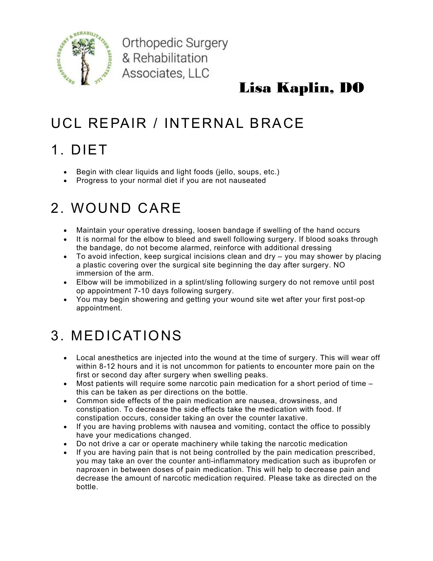

Orthopedic Surgery & Rehabilitation Associates, LLC

#### Lisa Kaplin, DO

### UCL REPAIR / INTERNAL BRACE

# 1. DIET

- Begin with clear liquids and light foods (jello, soups, etc.)
- Progress to your normal diet if you are not nauseated

# 2. WOUND CARE

- Maintain your operative dressing, loosen bandage if swelling of the hand occurs
- It is normal for the elbow to bleed and swell following surgery. If blood soaks through the bandage, do not become alarmed, reinforce with additional dressing
- To avoid infection, keep surgical incisions clean and dry you may shower by placing a plastic covering over the surgical site beginning the day after surgery. NO immersion of the arm.
- Elbow will be immobilized in a splint/sling following surgery do not remove until post op appointment 7-10 days following surgery.
- You may begin showering and getting your wound site wet after your first post-op appointment.

# 3. MEDICATIONS

- Local anesthetics are injected into the wound at the time of surgery. This will wear off within 8-12 hours and it is not uncommon for patients to encounter more pain on the first or second day after surgery when swelling peaks.
- $\bullet$  Most patients will require some narcotic pain medication for a short period of time  $$ this can be taken as per directions on the bottle.
- Common side effects of the pain medication are nausea, drowsiness, and constipation. To decrease the side effects take the medication with food. If constipation occurs, consider taking an over the counter laxative.
- If you are having problems with nausea and vomiting, contact the office to possibly have your medications changed.
- Do not drive a car or operate machinery while taking the narcotic medication
- If you are having pain that is not being controlled by the pain medication prescribed, you may take an over the counter anti-inflammatory medication such as ibuprofen or naproxen in between doses of pain medication. This will help to decrease pain and decrease the amount of narcotic medication required. Please take as directed on the bottle.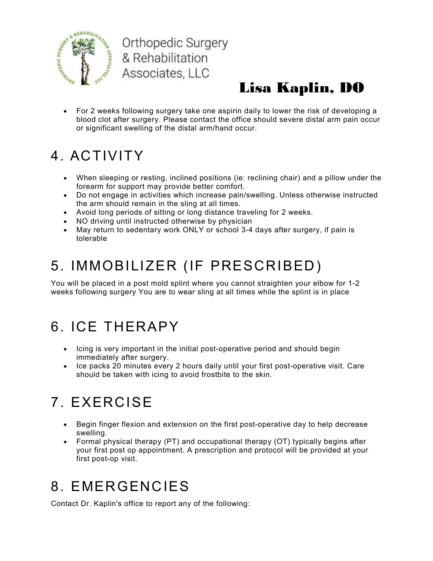

**Orthopedic Surgery** & Rehabilitation Associates, LLC

### Lisa Kaplin, DO

 For 2 weeks following surgery take one aspirin daily to lower the risk of developing a blood clot after surgery. Please contact the office should severe distal arm pain occur or significant swelling of the distal arm/hand occur.

### 4. ACTIVITY

- When sleeping or resting, inclined positions (ie: reclining chair) and a pillow under the forearm for support may provide better comfort.
- Do not engage in activities which increase pain/swelling. Unless otherwise instructed the arm should remain in the sling at all times.
- Avoid long periods of sitting or long distance traveling for 2 weeks.
- NO driving until instructed otherwise by physician
- May return to sedentary work ONLY or school 3-4 days after surgery, if pain is tolerable

### 5. IMMOBILIZER (IF PRESCRIBED)

You will be placed in a post mold splint where you cannot straighten your elbow for 1-2 weeks following surgery You are to wear sling at all times while the splint is in place

### 6. ICE THERAPY

- Icing is very important in the initial post-operative period and should begin immediately after surgery.
- Ice packs 20 minutes every 2 hours daily until your first post-operative visit. Care should be taken with icing to avoid frostbite to the skin.

# 7. EXERCISE

- Begin finger flexion and extension on the first post-operative day to help decrease swelling.
- Formal physical therapy (PT) and occupational therapy (OT) typically begins after your first post op appointment. A prescription and protocol will be provided at your first post-op visit.

#### 8. EMERGENCIES

Contact Dr. Kaplin's office to report any of the following: